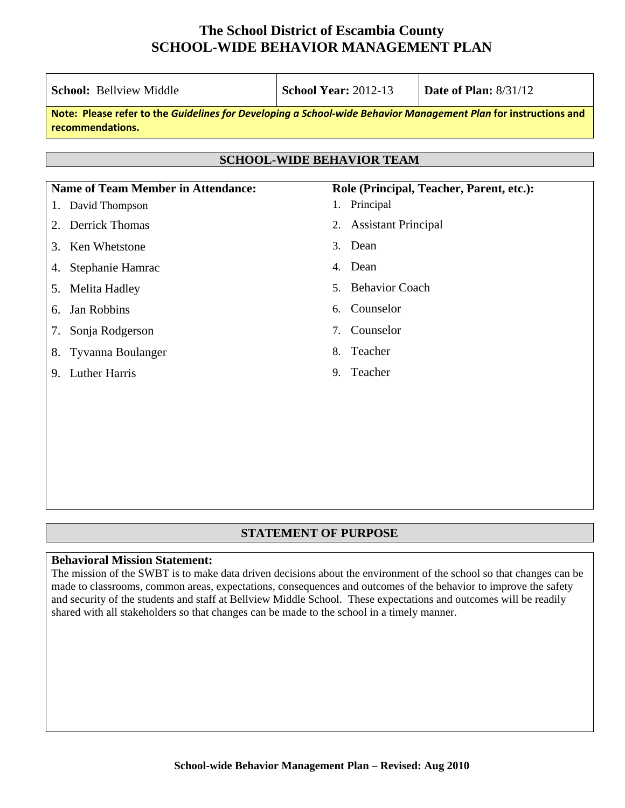| <b>School: Bellyiew Middle</b>                                                                                                      | <b>School Year: 2012-13</b>                 | Date of Plan: $8/31/12$ |  |  |  |  |
|-------------------------------------------------------------------------------------------------------------------------------------|---------------------------------------------|-------------------------|--|--|--|--|
| Note: Please refer to the Guidelines for Developing a School-wide Behavior Management Plan for instructions and<br>recommendations. |                                             |                         |  |  |  |  |
|                                                                                                                                     |                                             |                         |  |  |  |  |
| <b>SCHOOL-WIDE BEHAVIOR TEAM</b>                                                                                                    |                                             |                         |  |  |  |  |
| <b>Name of Team Member in Attendance:</b>                                                                                           | Role (Principal, Teacher, Parent, etc.):    |                         |  |  |  |  |
| David Thompson<br>1.                                                                                                                | 1. Principal                                |                         |  |  |  |  |
| <b>Derrick Thomas</b><br>2.                                                                                                         | <b>Assistant Principal</b><br>2.            |                         |  |  |  |  |
| Ken Whetstone<br>3.                                                                                                                 | Dean<br>3.                                  |                         |  |  |  |  |
| Stephanie Hamrac<br>4.                                                                                                              | Dean<br>4.                                  |                         |  |  |  |  |
| Melita Hadley<br>5.                                                                                                                 | <b>Behavior Coach</b><br>5                  |                         |  |  |  |  |
| Jan Robbins<br>6.                                                                                                                   | Counselor<br>б.                             |                         |  |  |  |  |
| Sonja Rodgerson<br>7.                                                                                                               | Counselor<br>$7_{\scriptscriptstyle{\sim}}$ |                         |  |  |  |  |
| Tyvanna Boulanger<br>8.                                                                                                             | Teacher<br>8.                               |                         |  |  |  |  |
| <b>Luther Harris</b><br>9.                                                                                                          | Teacher<br>9.                               |                         |  |  |  |  |
|                                                                                                                                     |                                             |                         |  |  |  |  |
|                                                                                                                                     |                                             |                         |  |  |  |  |
|                                                                                                                                     |                                             |                         |  |  |  |  |
|                                                                                                                                     |                                             |                         |  |  |  |  |

#### **STATEMENT OF PURPOSE**

#### **Behavioral Mission Statement:**

The mission of the SWBT is to make data driven decisions about the environment of the school so that changes can be made to classrooms, common areas, expectations, consequences and outcomes of the behavior to improve the safety and security of the students and staff at Bellview Middle School. These expectations and outcomes will be readily shared with all stakeholders so that changes can be made to the school in a timely manner.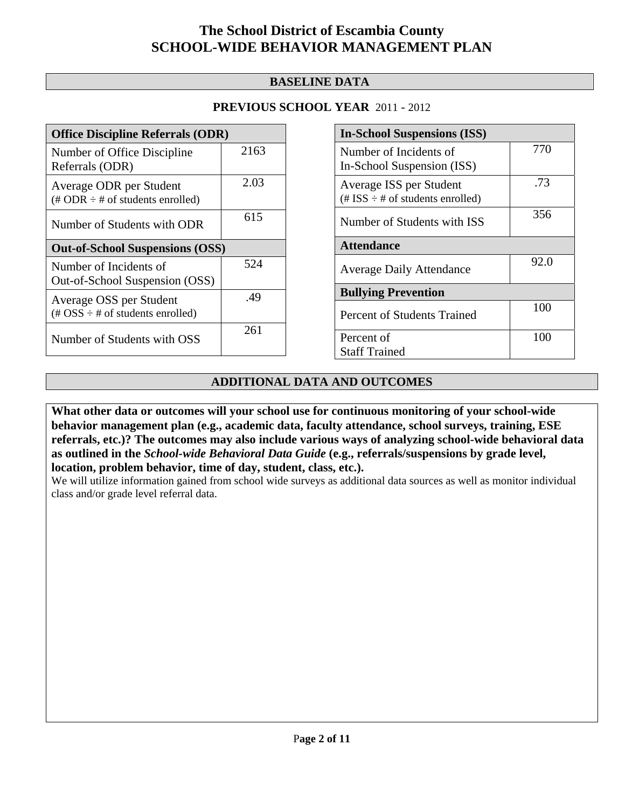#### **BASELINE DATA**

#### **PREVIOUS SCHOOL YEAR** 2011 - 2012

| <b>Office Discipline Referrals (ODR)</b>                                                        |      |  |
|-------------------------------------------------------------------------------------------------|------|--|
| Number of Office Discipline<br>Referrals (ODR)                                                  | 2163 |  |
| Average ODR per Student<br>$(\# ODR \div \# \text{ of students enrolled})$                      | 2.03 |  |
| Number of Students with ODR                                                                     | 615  |  |
| <b>Out-of-School Suspensions (OSS)</b>                                                          |      |  |
| Number of Incidents of                                                                          | 524  |  |
| Out-of-School Suspension (OSS)                                                                  |      |  |
| Average OSS per Student<br>$(\text{\#} \text{OSS} \div \text{\#} \text{ of students enrolled})$ | .49  |  |

| <b>In-School Suspensions (ISS)</b>                                 |      |  |
|--------------------------------------------------------------------|------|--|
| Number of Incidents of<br>In-School Suspension (ISS)               | 770  |  |
| Average ISS per Student<br>$(\# ISS \div \# of students enrolled)$ | .73  |  |
| Number of Students with ISS                                        | 356  |  |
| <b>Attendance</b>                                                  |      |  |
| <b>Average Daily Attendance</b>                                    | 92.0 |  |
| <b>Bullying Prevention</b>                                         |      |  |
| <b>Percent of Students Trained</b>                                 | 100  |  |
| Percent of<br><b>Staff Trained</b>                                 | 100  |  |

### **ADDITIONAL DATA AND OUTCOMES**

**What other data or outcomes will your school use for continuous monitoring of your school-wide behavior management plan (e.g., academic data, faculty attendance, school surveys, training, ESE referrals, etc.)? The outcomes may also include various ways of analyzing school-wide behavioral data as outlined in the** *School-wide Behavioral Data Guide* **(e.g., referrals/suspensions by grade level, location, problem behavior, time of day, student, class, etc.).**

We will utilize information gained from school wide surveys as additional data sources as well as monitor individual class and/or grade level referral data.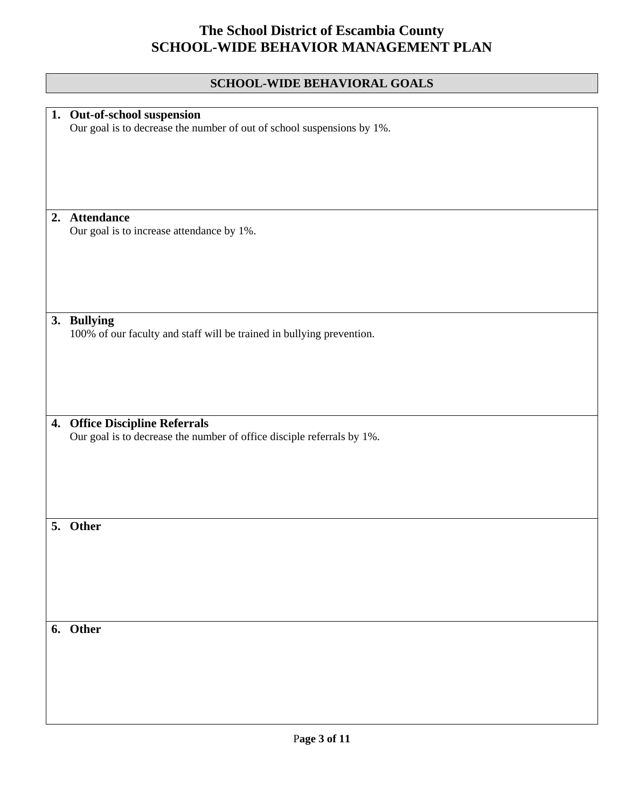### **SCHOOL-WIDE BEHAVIORAL GOALS**

|    | 1. Out-of-school suspension                                            |
|----|------------------------------------------------------------------------|
|    | Our goal is to decrease the number of out of school suspensions by 1%. |
|    |                                                                        |
|    |                                                                        |
|    |                                                                        |
|    |                                                                        |
|    |                                                                        |
|    |                                                                        |
|    |                                                                        |
|    |                                                                        |
|    | 2. Attendance                                                          |
|    | Our goal is to increase attendance by 1%.                              |
|    |                                                                        |
|    |                                                                        |
|    |                                                                        |
|    |                                                                        |
|    |                                                                        |
|    |                                                                        |
|    |                                                                        |
|    | 3. Bullying                                                            |
|    | 100% of our faculty and staff will be trained in bullying prevention.  |
|    |                                                                        |
|    |                                                                        |
|    |                                                                        |
|    |                                                                        |
|    |                                                                        |
|    |                                                                        |
|    |                                                                        |
| 4. | <b>Office Discipline Referrals</b>                                     |
|    |                                                                        |
|    | Our goal is to decrease the number of office disciple referrals by 1%. |
|    |                                                                        |
|    |                                                                        |
|    |                                                                        |
|    |                                                                        |
|    |                                                                        |
|    |                                                                        |
|    |                                                                        |
|    |                                                                        |
|    | 5. Other                                                               |
|    |                                                                        |
|    |                                                                        |
|    |                                                                        |
|    |                                                                        |
|    |                                                                        |
|    |                                                                        |
|    |                                                                        |
|    |                                                                        |
|    | 6. Other                                                               |
|    |                                                                        |
|    |                                                                        |
|    |                                                                        |
|    |                                                                        |
|    |                                                                        |
|    |                                                                        |
|    |                                                                        |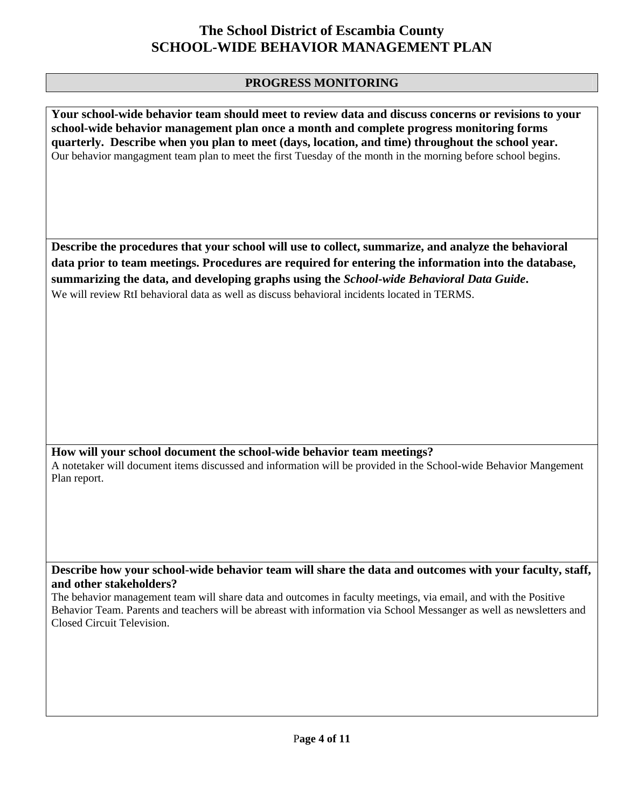#### **PROGRESS MONITORING**

**Your school-wide behavior team should meet to review data and discuss concerns or revisions to your school-wide behavior management plan once a month and complete progress monitoring forms quarterly. Describe when you plan to meet (days, location, and time) throughout the school year.**  Our behavior mangagment team plan to meet the first Tuesday of the month in the morning before school begins.

**Describe the procedures that your school will use to collect, summarize, and analyze the behavioral data prior to team meetings. Procedures are required for entering the information into the database, summarizing the data, and developing graphs using the** *School-wide Behavioral Data Guide***.**  We will review RtI behavioral data as well as discuss behavioral incidents located in TERMS.

**How will your school document the school-wide behavior team meetings?** A notetaker will document items discussed and information will be provided in the School-wide Behavior Mangement Plan report.

**Describe how your school-wide behavior team will share the data and outcomes with your faculty, staff, and other stakeholders?** 

The behavior management team will share data and outcomes in faculty meetings, via email, and with the Positive Behavior Team. Parents and teachers will be abreast with information via School Messanger as well as newsletters and Closed Circuit Television.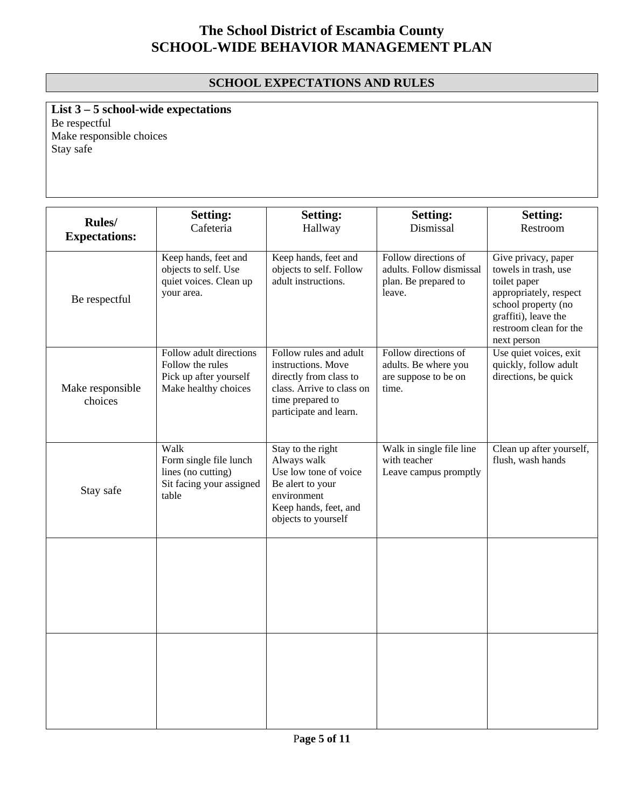### **SCHOOL EXPECTATIONS AND RULES**

**List 3 – 5 school-wide expectations** Be respectful Make responsible choices Stay safe

| Rules/<br><b>Expectations:</b> | <b>Setting:</b><br>Cafeteria                                                                  | <b>Setting:</b><br>Hallway                                                                                                                        | <b>Setting:</b><br>Dismissal                                                       | <b>Setting:</b><br>Restroom                                                                                                                                                   |
|--------------------------------|-----------------------------------------------------------------------------------------------|---------------------------------------------------------------------------------------------------------------------------------------------------|------------------------------------------------------------------------------------|-------------------------------------------------------------------------------------------------------------------------------------------------------------------------------|
| Be respectful                  | Keep hands, feet and<br>objects to self. Use<br>quiet voices. Clean up<br>your area.          | Keep hands, feet and<br>objects to self. Follow<br>adult instructions.                                                                            | Follow directions of<br>adults. Follow dismissal<br>plan. Be prepared to<br>leave. | Give privacy, paper<br>towels in trash, use<br>toilet paper<br>appropriately, respect<br>school property (no<br>graffiti), leave the<br>restroom clean for the<br>next person |
| Make responsible<br>choices    | Follow adult directions<br>Follow the rules<br>Pick up after yourself<br>Make healthy choices | Follow rules and adult<br>instructions. Move<br>directly from class to<br>class. Arrive to class on<br>time prepared to<br>participate and learn. | Follow directions of<br>adults. Be where you<br>are suppose to be on<br>time.      | Use quiet voices, exit<br>quickly, follow adult<br>directions, be quick                                                                                                       |
| Stay safe                      | Walk<br>Form single file lunch<br>lines (no cutting)<br>Sit facing your assigned<br>table     | Stay to the right<br>Always walk<br>Use low tone of voice<br>Be alert to your<br>environment<br>Keep hands, feet, and<br>objects to yourself      | Walk in single file line<br>with teacher<br>Leave campus promptly                  | Clean up after yourself,<br>flush, wash hands                                                                                                                                 |
|                                |                                                                                               |                                                                                                                                                   |                                                                                    |                                                                                                                                                                               |
|                                |                                                                                               |                                                                                                                                                   |                                                                                    |                                                                                                                                                                               |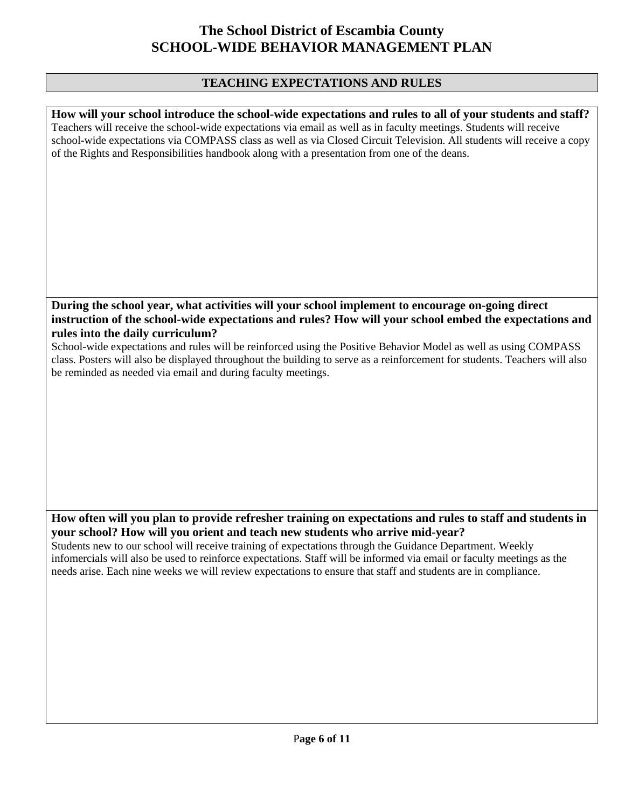#### **TEACHING EXPECTATIONS AND RULES**

**How will your school introduce the school-wide expectations and rules to all of your students and staff?**  Teachers will receive the school-wide expectations via email as well as in faculty meetings. Students will receive school-wide expectations via COMPASS class as well as via Closed Circuit Television. All students will receive a copy of the Rights and Responsibilities handbook along with a presentation from one of the deans.

#### **During the school year, what activities will your school implement to encourage on-going direct instruction of the school-wide expectations and rules? How will your school embed the expectations and rules into the daily curriculum?**

School-wide expectations and rules will be reinforced using the Positive Behavior Model as well as using COMPASS class. Posters will also be displayed throughout the building to serve as a reinforcement for students. Teachers will also be reminded as needed via email and during faculty meetings.

#### **How often will you plan to provide refresher training on expectations and rules to staff and students in your school? How will you orient and teach new students who arrive mid-year?**

Students new to our school will receive training of expectations through the Guidance Department. Weekly infomercials will also be used to reinforce expectations. Staff will be informed via email or faculty meetings as the needs arise. Each nine weeks we will review expectations to ensure that staff and students are in compliance.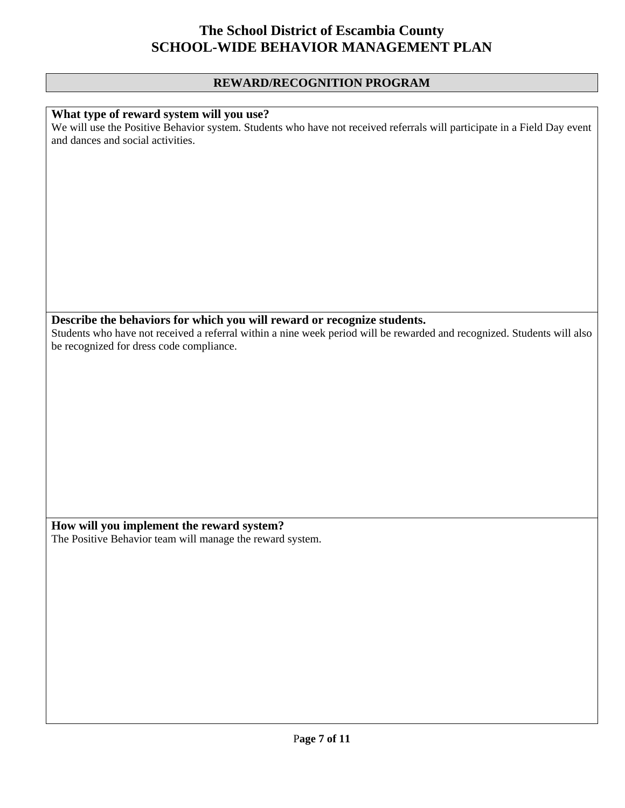#### **REWARD/RECOGNITION PROGRAM**

#### **What type of reward system will you use?**

We will use the Positive Behavior system. Students who have not received referrals will participate in a Field Day event and dances and social activities.

### **Describe the behaviors for which you will reward or recognize students.**

Students who have not received a referral within a nine week period will be rewarded and recognized. Students will also be recognized for dress code compliance.

**How will you implement the reward system?**  The Positive Behavior team will manage the reward system.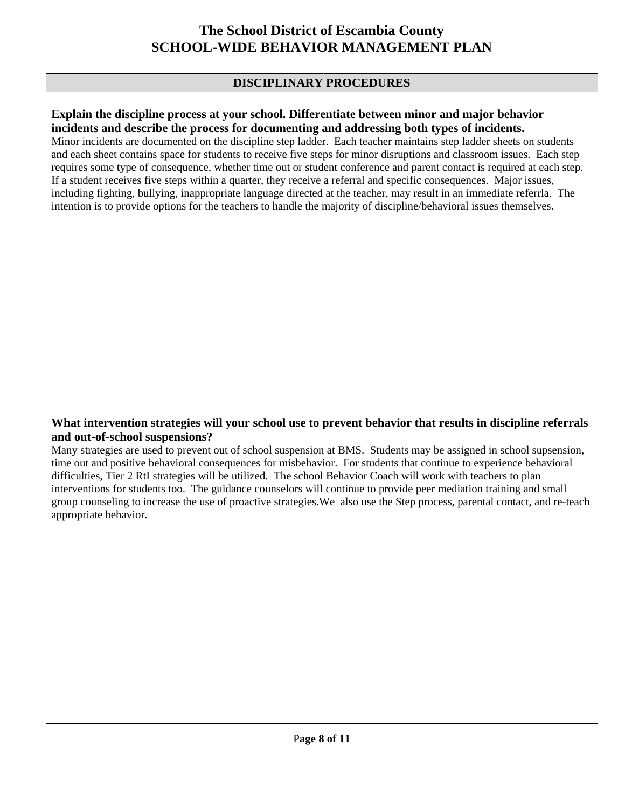#### **DISCIPLINARY PROCEDURES**

#### **Explain the discipline process at your school. Differentiate between minor and major behavior incidents and describe the process for documenting and addressing both types of incidents.**

Minor incidents are documented on the discipline step ladder. Each teacher maintains step ladder sheets on students and each sheet contains space for students to receive five steps for minor disruptions and classroom issues. Each step requires some type of consequence, whether time out or student conference and parent contact is required at each step. If a student receives five steps within a quarter, they receive a referral and specific consequences. Major issues, including fighting, bullying, inappropriate language directed at the teacher, may result in an immediate referrla. The intention is to provide options for the teachers to handle the majority of discipline/behavioral issues themselves.

#### **What intervention strategies will your school use to prevent behavior that results in discipline referrals and out-of-school suspensions?**

Many strategies are used to prevent out of school suspension at BMS. Students may be assigned in school supsension, time out and positive behavioral consequences for misbehavior. For students that continue to experience behavioral difficulties, Tier 2 RtI strategies will be utilized. The school Behavior Coach will work with teachers to plan interventions for students too. The guidance counselors will continue to provide peer mediation training and small group counseling to increase the use of proactive strategies.We also use the Step process, parental contact, and re-teach appropriate behavior.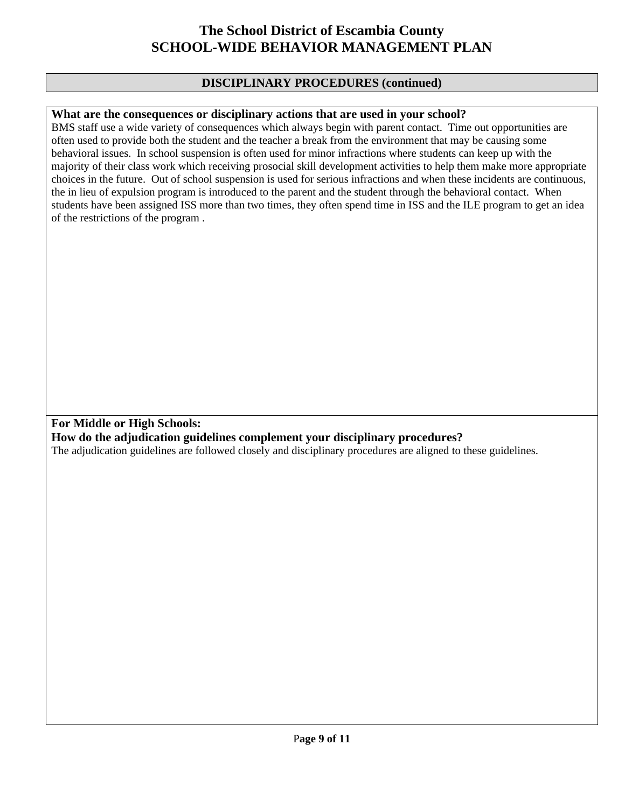#### **DISCIPLINARY PROCEDURES (continued)**

#### **What are the consequences or disciplinary actions that are used in your school?**

BMS staff use a wide variety of consequences which always begin with parent contact. Time out opportunities are often used to provide both the student and the teacher a break from the environment that may be causing some behavioral issues. In school suspension is often used for minor infractions where students can keep up with the majority of their class work which receiving prosocial skill development activities to help them make more appropriate choices in the future. Out of school suspension is used for serious infractions and when these incidents are continuous, the in lieu of expulsion program is introduced to the parent and the student through the behavioral contact. When students have been assigned ISS more than two times, they often spend time in ISS and the ILE program to get an idea of the restrictions of the program .

### **For Middle or High Schools:**

#### **How do the adjudication guidelines complement your disciplinary procedures?**

The adjudication guidelines are followed closely and disciplinary procedures are aligned to these guidelines.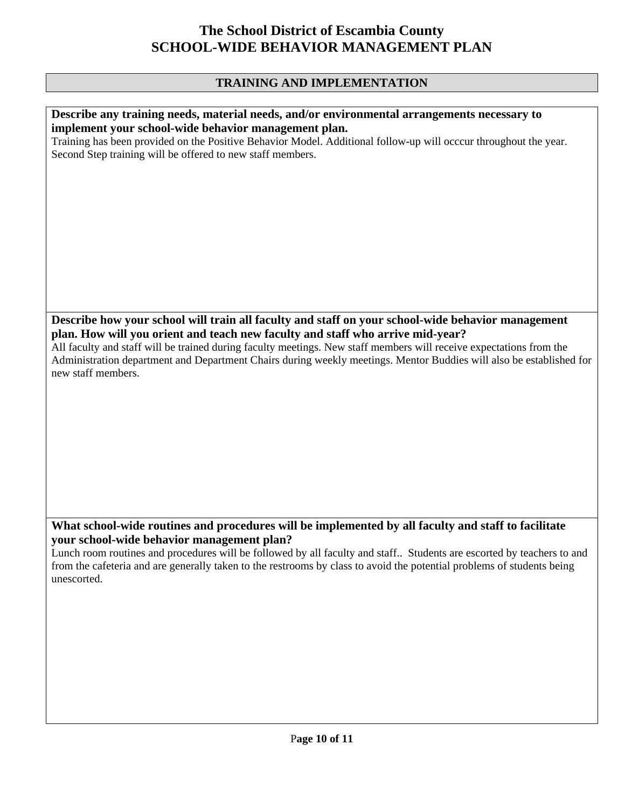### **TRAINING AND IMPLEMENTATION**

| Describe any training needs, material needs, and/or environmental arrangements necessary to<br>implement your school-wide behavior management plan.<br>Training has been provided on the Positive Behavior Model. Additional follow-up will occcur throughout the year.<br>Second Step training will be offered to new staff members.                                                                                                                   |
|---------------------------------------------------------------------------------------------------------------------------------------------------------------------------------------------------------------------------------------------------------------------------------------------------------------------------------------------------------------------------------------------------------------------------------------------------------|
|                                                                                                                                                                                                                                                                                                                                                                                                                                                         |
| Describe how your school will train all faculty and staff on your school-wide behavior management<br>plan. How will you orient and teach new faculty and staff who arrive mid-year?<br>All faculty and staff will be trained during faculty meetings. New staff members will receive expectations from the<br>Administration department and Department Chairs during weekly meetings. Mentor Buddies will also be established for<br>new staff members. |
| What school-wide routines and procedures will be implemented by all faculty and staff to facilitate<br>vour school-wide behavior management plan?<br>Lunch room routines and procedures will be followed by all faculty and staff Students are escorted by teachers to and<br>from the cafeteria and are generally taken to the restrooms by class to avoid the potential problems of students being<br>unescorted.                                     |